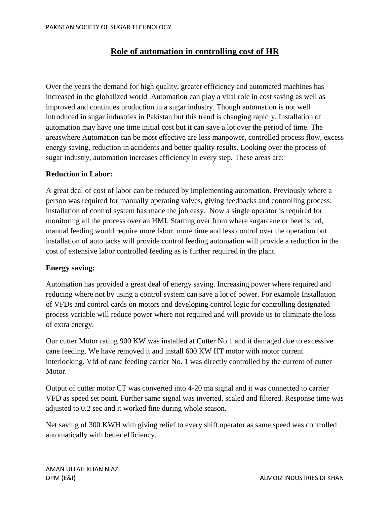## **Role of automation in controlling cost of HR**

Over the years the demand for high quality, greater efficiency and automated machines has increased in the globalized world .Automation can play a vital role in cost saving as well as improved and continues production in a sugar industry. Though automation is not well introduced in sugar industries in Pakistan but this trend is changing rapidly. Installation of automation may have one time initial cost but it can save a lot over the period of time. The areaswhere Automation can be most effective are less manpower, controlled process flow, excess energy saving, reduction in accidents and better quality results. Looking over the process of sugar industry, automation increases efficiency in every step. These areas are:

### **Reduction in Labor:**

A great deal of cost of labor can be reduced by implementing automation. Previously where a person was required for manually operating valves, giving feedbacks and controlling process; installation of control system has made the job easy. Now a single operator is required for monitoring all the process over an HMI. Starting over from where sugarcane or beet is fed, manual feeding would require more labor, more time and less control over the operation but installation of auto jacks will provide control feeding automation will provide a reduction in the cost of extensive labor controlled feeding as is further required in the plant.

#### **Energy saving:**

Automation has provided a great deal of energy saving. Increasing power where required and reducing where not by using a control system can save a lot of power. For example Installation of VFDs and control cards on motors and developing control logic for controlling designated process variable will reduce power where not required and will provide us to eliminate the loss of extra energy.

Our cutter Motor rating 900 KW was installed at Cutter No.1 and it damaged due to excessive cane feeding. We have removed it and install 600 KW HT motor with motor current interlocking. Vfd of cane feeding carrier No. 1 was directly controlled by the current of cutter Motor.

Output of cutter motor CT was converted into 4-20 ma signal and it was connected to carrier VFD as speed set point. Further same signal was inverted, scaled and filtered. Response time was adjusted to 0.2 sec and it worked fine during whole season.

Net saving of 300 KWH with giving relief to every shift operator as same speed was controlled automatically with better efficiency.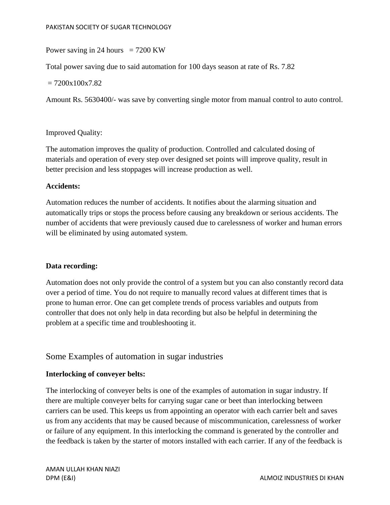### Power saving in 24 hours  $= 7200$  KW

Total power saving due to said automation for 100 days season at rate of Rs. 7.82

 $= 7200x100x7.82$ 

Amount Rs. 5630400/- was save by converting single motor from manual control to auto control.

### Improved Quality:

The automation improves the quality of production. Controlled and calculated dosing of materials and operation of every step over designed set points will improve quality, result in better precision and less stoppages will increase production as well.

### **Accidents:**

Automation reduces the number of accidents. It notifies about the alarming situation and automatically trips or stops the process before causing any breakdown or serious accidents. The number of accidents that were previously caused due to carelessness of worker and human errors will be eliminated by using automated system.

## **Data recording:**

Automation does not only provide the control of a system but you can also constantly record data over a period of time. You do not require to manually record values at different times that is prone to human error. One can get complete trends of process variables and outputs from controller that does not only help in data recording but also be helpful in determining the problem at a specific time and troubleshooting it.

## Some Examples of automation in sugar industries

#### **Interlocking of conveyer belts:**

The interlocking of conveyer belts is one of the examples of automation in sugar industry. If there are multiple conveyer belts for carrying sugar cane or beet than interlocking between carriers can be used. This keeps us from appointing an operator with each carrier belt and saves us from any accidents that may be caused because of miscommunication, carelessness of worker or failure of any equipment. In this interlocking the command is generated by the controller and the feedback is taken by the starter of motors installed with each carrier. If any of the feedback is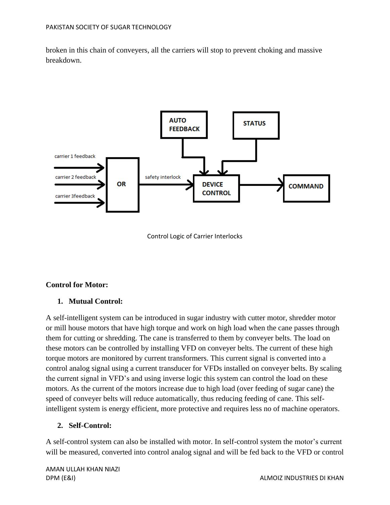broken in this chain of conveyers, all the carriers will stop to prevent choking and massive breakdown.





## **Control for Motor:**

## **1. Mutual Control:**

A self-intelligent system can be introduced in sugar industry with cutter motor, shredder motor or mill house motors that have high torque and work on high load when the cane passes through them for cutting or shredding. The cane is transferred to them by conveyer belts. The load on these motors can be controlled by installing VFD on conveyer belts. The current of these high torque motors are monitored by current transformers. This current signal is converted into a control analog signal using a current transducer for VFDs installed on conveyer belts. By scaling the current signal in VFD's and using inverse logic this system can control the load on these motors. As the current of the motors increase due to high load (over feeding of sugar cane) the speed of conveyer belts will reduce automatically, thus reducing feeding of cane. This selfintelligent system is energy efficient, more protective and requires less no of machine operators.

#### **2. Self-Control:**

A self-control system can also be installed with motor. In self-control system the motor's current will be measured, converted into control analog signal and will be fed back to the VFD or control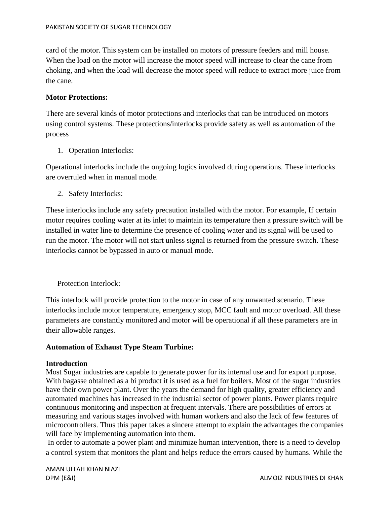card of the motor. This system can be installed on motors of pressure feeders and mill house. When the load on the motor will increase the motor speed will increase to clear the cane from choking, and when the load will decrease the motor speed will reduce to extract more juice from the cane.

### **Motor Protections:**

There are several kinds of motor protections and interlocks that can be introduced on motors using control systems. These protections/interlocks provide safety as well as automation of the process

1. Operation Interlocks:

Operational interlocks include the ongoing logics involved during operations. These interlocks are overruled when in manual mode.

2. Safety Interlocks:

These interlocks include any safety precaution installed with the motor. For example, If certain motor requires cooling water at its inlet to maintain its temperature then a pressure switch will be installed in water line to determine the presence of cooling water and its signal will be used to run the motor. The motor will not start unless signal is returned from the pressure switch. These interlocks cannot be bypassed in auto or manual mode.

Protection Interlock:

This interlock will provide protection to the motor in case of any unwanted scenario. These interlocks include motor temperature, emergency stop, MCC fault and motor overload. All these parameters are constantly monitored and motor will be operational if all these parameters are in their allowable ranges.

## **Automation of Exhaust Type Steam Turbine:**

#### **Introduction**

Most Sugar industries are capable to generate power for its internal use and for export purpose. With bagasse obtained as a bi product it is used as a fuel for boilers. Most of the sugar industries have their own power plant. Over the years the demand for high quality, greater efficiency and automated machines has increased in the industrial sector of power plants. Power plants require continuous monitoring and inspection at frequent intervals. There are possibilities of errors at measuring and various stages involved with human workers and also the lack of few features of microcontrollers. Thus this paper takes a sincere attempt to explain the advantages the companies will face by implementing automation into them.

In order to automate a power plant and minimize human intervention, there is a need to develop a control system that monitors the plant and helps reduce the errors caused by humans. While the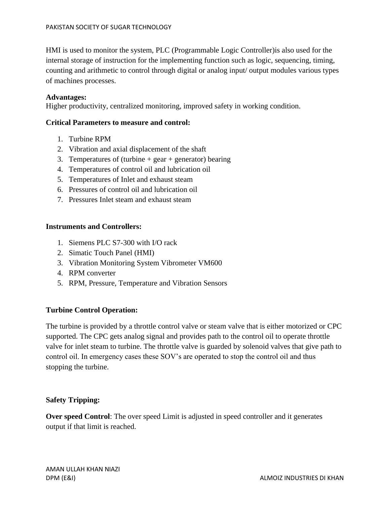HMI is used to monitor the system, PLC (Programmable Logic Controller)is also used for the internal storage of instruction for the implementing function such as logic, sequencing, timing, counting and arithmetic to control through digital or analog input/ output modules various types of machines processes.

#### **Advantages:**

Higher productivity, centralized monitoring, improved safety in working condition.

#### **Critical Parameters to measure and control:**

- 1. Turbine RPM
- 2. Vibration and axial displacement of the shaft
- 3. Temperatures of (turbine  $+$  gear  $+$  generator) bearing
- 4. Temperatures of control oil and lubrication oil
- 5. Temperatures of Inlet and exhaust steam
- 6. Pressures of control oil and lubrication oil
- 7. Pressures Inlet steam and exhaust steam

#### **Instruments and Controllers:**

- 1. Siemens PLC S7-300 with I/O rack
- 2. Simatic Touch Panel (HMI)
- 3. Vibration Monitoring System Vibrometer VM600
- 4. RPM converter
- 5. RPM, Pressure, Temperature and Vibration Sensors

#### **Turbine Control Operation:**

The turbine is provided by a throttle control valve or steam valve that is either motorized or CPC supported. The CPC gets analog signal and provides path to the control oil to operate throttle valve for inlet steam to turbine. The throttle valve is guarded by solenoid valves that give path to control oil. In emergency cases these SOV's are operated to stop the control oil and thus stopping the turbine.

#### **Safety Tripping:**

**Over speed Control**: The over speed Limit is adjusted in speed controller and it generates output if that limit is reached.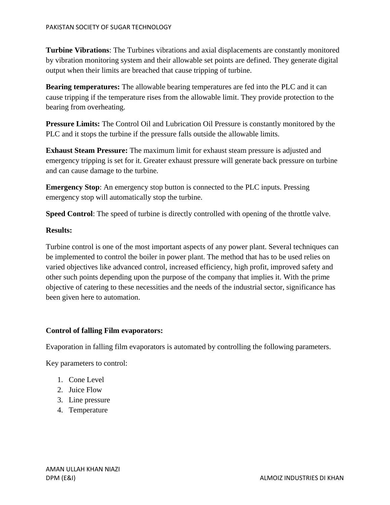**Turbine Vibrations**: The Turbines vibrations and axial displacements are constantly monitored by vibration monitoring system and their allowable set points are defined. They generate digital output when their limits are breached that cause tripping of turbine.

**Bearing temperatures:** The allowable bearing temperatures are fed into the PLC and it can cause tripping if the temperature rises from the allowable limit. They provide protection to the bearing from overheating.

**Pressure Limits:** The Control Oil and Lubrication Oil Pressure is constantly monitored by the PLC and it stops the turbine if the pressure falls outside the allowable limits.

**Exhaust Steam Pressure:** The maximum limit for exhaust steam pressure is adjusted and emergency tripping is set for it. Greater exhaust pressure will generate back pressure on turbine and can cause damage to the turbine.

**Emergency Stop**: An emergency stop button is connected to the PLC inputs. Pressing emergency stop will automatically stop the turbine.

**Speed Control**: The speed of turbine is directly controlled with opening of the throttle valve.

### **Results:**

Turbine control is one of the most important aspects of any power plant. Several techniques can be implemented to control the boiler in power plant. The method that has to be used relies on varied objectives like advanced control, increased efficiency, high profit, improved safety and other such points depending upon the purpose of the company that implies it. With the prime objective of catering to these necessities and the needs of the industrial sector, significance has been given here to automation.

## **Control of falling Film evaporators:**

Evaporation in falling film evaporators is automated by controlling the following parameters.

Key parameters to control:

- 1. Cone Level
- 2. Juice Flow
- 3. Line pressure
- 4. Temperature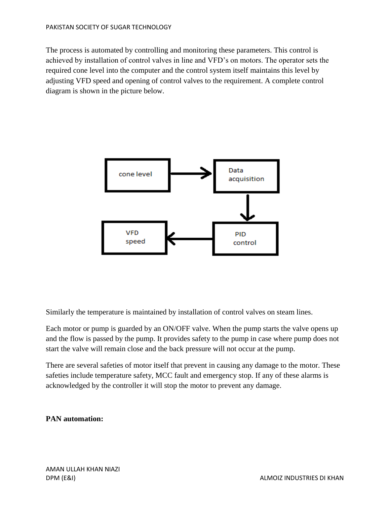The process is automated by controlling and monitoring these parameters. This control is achieved by installation of control valves in line and VFD's on motors. The operator sets the required cone level into the computer and the control system itself maintains this level by adjusting VFD speed and opening of control valves to the requirement. A complete control diagram is shown in the picture below.



Similarly the temperature is maintained by installation of control valves on steam lines.

Each motor or pump is guarded by an ON/OFF valve. When the pump starts the valve opens up and the flow is passed by the pump. It provides safety to the pump in case where pump does not start the valve will remain close and the back pressure will not occur at the pump.

There are several safeties of motor itself that prevent in causing any damage to the motor. These safeties include temperature safety, MCC fault and emergency stop. If any of these alarms is acknowledged by the controller it will stop the motor to prevent any damage.

## **PAN automation:**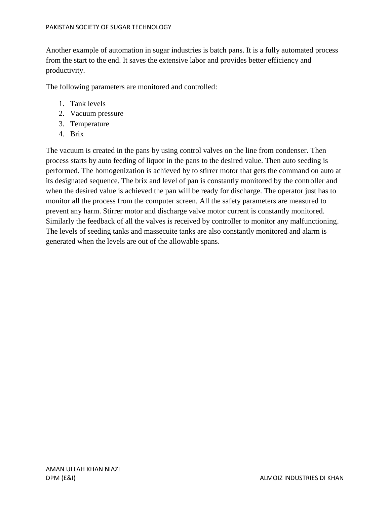Another example of automation in sugar industries is batch pans. It is a fully automated process from the start to the end. It saves the extensive labor and provides better efficiency and productivity.

The following parameters are monitored and controlled:

- 1. Tank levels
- 2. Vacuum pressure
- 3. Temperature
- 4. Brix

The vacuum is created in the pans by using control valves on the line from condenser. Then process starts by auto feeding of liquor in the pans to the desired value. Then auto seeding is performed. The homogenization is achieved by to stirrer motor that gets the command on auto at its designated sequence. The brix and level of pan is constantly monitored by the controller and when the desired value is achieved the pan will be ready for discharge. The operator just has to monitor all the process from the computer screen. All the safety parameters are measured to prevent any harm. Stirrer motor and discharge valve motor current is constantly monitored. Similarly the feedback of all the valves is received by controller to monitor any malfunctioning. The levels of seeding tanks and massecuite tanks are also constantly monitored and alarm is generated when the levels are out of the allowable spans.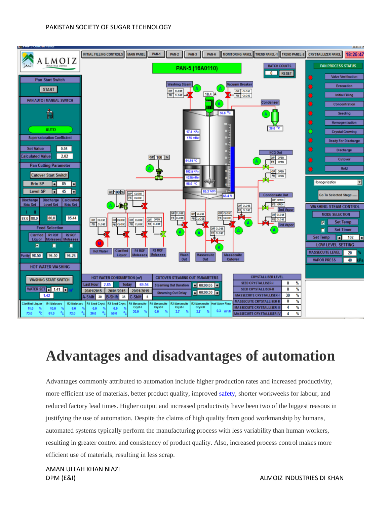

# **Advantages and disadvantages of automation**

Advantages commonly attributed to automation include higher production rates and increased productivity, more efficient use of materials, better product quality, improved [safety,](http://www.britannica.com/EBchecked/topic/516063/safety) shorter workweeks for labour, and reduced factory lead times. Higher output and increased productivity have been two of the biggest reasons in justifying the use of automation. Despite the claims of high quality from good workmanship by humans, automated systems typically perform the manufacturing process with less variability than human workers, resulting in greater control and consistency of product quality. Also, increased process control makes more efficient use of materials, resulting in less scrap.

AMAN ULLAH KHAN NIAZI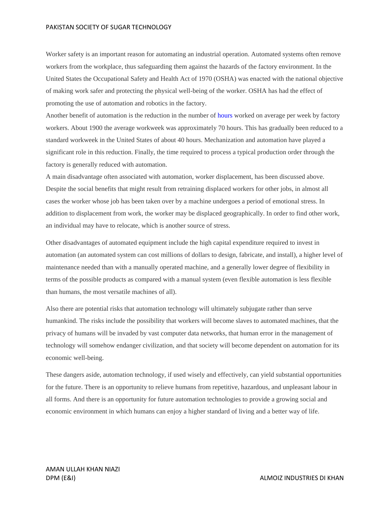#### PAKISTAN SOCIETY OF SUGAR TECHNOLOGY

Worker safety is an important reason for automating an industrial operation. Automated systems often remove workers from the workplace, thus safeguarding them against the hazards of the factory environment. In the United States the Occupational Safety and Health Act of 1970 (OSHA) was enacted with the national objective of making work safer and protecting the physical well-being of the worker. OSHA has had the effect of promoting the use of automation and robotics in the factory.

Another benefit of automation is the reduction in the number o[f hours](http://www.britannica.com/EBchecked/topic/326853/hours-of-labour) worked on average per week by factory workers. About 1900 the average workweek was approximately 70 hours. This has gradually been reduced to a standard workweek in the United States of about 40 hours. Mechanization and automation have played a significant role in this reduction. Finally, the time required to process a typical production order through the factory is generally reduced with automation.

A main disadvantage often associated with automation, worker displacement, has been discussed above. Despite the social benefits that might result from retraining displaced workers for other jobs, in almost all cases the worker whose job has been taken over by a machine undergoes a period of emotional stress. In addition to displacement from work, the worker may be displaced geographically. In order to find other work, an individual may have to relocate, which is another source of stress.

Other disadvantages of automated equipment include the high capital expenditure required to invest in automation (an automated system can cost millions of dollars to design, fabricate, and install), a higher level of maintenance needed than with a manually operated machine, and a generally lower degree of flexibility in terms of the possible products as compared with a manual system (even flexible automation is less flexible than humans, the most versatile machines of all).

Also there are potential risks that automation technology will ultimately subjugate rather than serve humankind. The risks include the possibility that workers will become slaves to automated machines, that the privacy of humans will be invaded by vast computer data networks, that human error in the management of technology will somehow endanger civilization, and that society will become dependent on automation for its economic well-being.

These dangers aside, automation technology, if used wisely and effectively, can yield substantial opportunities for the future. There is an opportunity to relieve humans from repetitive, hazardous, and unpleasant labour in all forms. And there is an opportunity for future automation technologies to provide a growing social and economic environment in which humans can enjoy a higher standard of living and a better way of life.